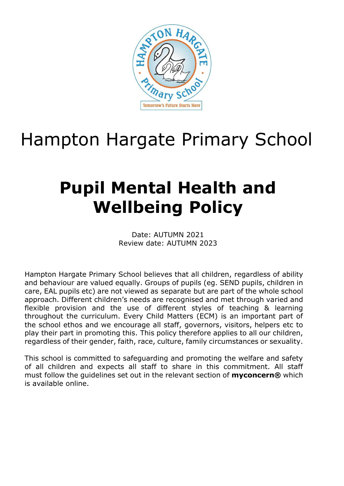

# Hampton Hargate Primary School

# **Pupil Mental Health and Wellbeing Policy**

Date: AUTUMN 2021 Review date: AUTUMN 2023

Hampton Hargate Primary School believes that all children, regardless of ability and behaviour are valued equally. Groups of pupils (eg. SEND pupils, children in care, EAL pupils etc) are not viewed as separate but are part of the whole school approach. Different children's needs are recognised and met through varied and flexible provision and the use of different styles of teaching & learning throughout the curriculum. Every Child Matters (ECM) is an important part of the school ethos and we encourage all staff, governors, visitors, helpers etc to play their part in promoting this. This policy therefore applies to all our children, regardless of their gender, faith, race, culture, family circumstances or sexuality.

This school is committed to safeguarding and promoting the welfare and safety of all children and expects all staff to share in this commitment. All staff must follow the guidelines set out in the relevant section of **myconcern®** which is available online.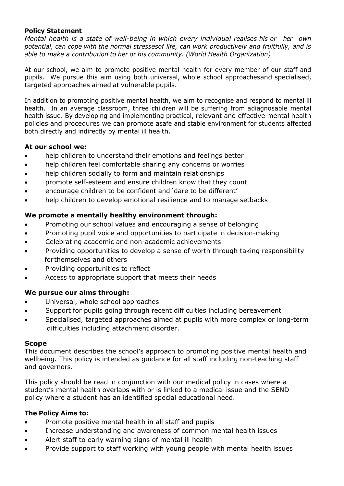## **Policy Statement**

*Mental health is a state of well-being in which every individual realises his or her own potential, can cope with the normal stressesof life, can work productively and fruitfully, and is able to make a contribution to her or his community. (World Health Organization)*

At our school, we aim to promote positive mental health for every member of our staff and pupils. We pursue this aim using both universal, whole school approachesand specialised, targeted approaches aimed at vulnerable pupils.

In addition to promoting positive mental health, we aim to recognise and respond to mental ill health. In an average classroom, three children will be suffering from adiagnosable mental health issue. By developing and implementing practical, relevant and effective mental health policies and procedures we can promote asafe and stable environment for students affected both directly and indirectly by mental ill health.

# **At our school we:**

- help children to understand their emotions and feelings better
- help children feel comfortable sharing any concerns or worries
- help children socially to form and maintain relationships
- promote self-esteem and ensure children know that they count
- encourage children to be confident and 'dare to be different'
- help children to develop emotional resilience and to manage setbacks

# **We promote a mentally healthy environment through:**

- Promoting our school values and encouraging a sense of belonging
- Promoting pupil voice and opportunities to participate in decision-making
- Celebrating academic and non-academic achievements
- Providing opportunities to develop a sense of worth through taking responsibility for themselves and others
- Providing opportunities to reflect
- Access to appropriate support that meets their needs

## **We pursue our aims through:**

- Universal, whole school approaches
- Support for pupils going through recent difficulties including bereavement
- Specialised, targeted approaches aimed at pupils with more complex or long-term difficulties including attachment disorder.

## **Scope**

This document describes the school's approach to promoting positive mental health and wellbeing. This policy is intended as guidance for all staff including non-teaching staff and governors.

This policy should be read in conjunction with our medical policy in cases where a student's mental health overlaps with or is linked to a medical issue and the SEND policy where a student has an identified special educational need.

## **The Policy Aims to:**

- Promote positive mental health in all staff and pupils
- Increase understanding and awareness of common mental health issues
- Alert staff to early warning signs of mental ill health
- Provide support to staff working with young people with mental health issues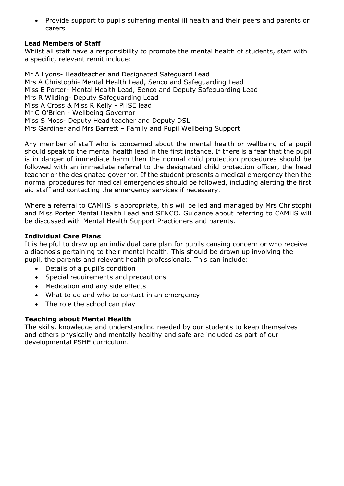• Provide support to pupils suffering mental ill health and their peers and parents or carers

## **Lead Members of Staff**

Whilst all staff have a responsibility to promote the mental health of students, staff with a specific, relevant remit include:

Mr A Lyons- Headteacher and Designated Safeguard Lead Mrs A Christophi- Mental Health Lead, Senco and Safeguarding Lead Miss E Porter- Mental Health Lead, Senco and Deputy Safeguarding Lead Mrs R Wilding- Deputy Safeguarding Lead Miss A Cross & Miss R Kelly - PHSE lead Mr C O'Brien - Wellbeing Governor Miss S Moss- Deputy Head teacher and Deputy DSL Mrs Gardiner and Mrs Barrett – Family and Pupil Wellbeing Support

Any member of staff who is concerned about the mental health or wellbeing of a pupil should speak to the mental health lead in the first instance. If there is a fear that the pupil is in danger of immediate harm then the normal child protection procedures should be followed with an immediate referral to the designated child protection officer, the head teacher or the designated governor. If the student presents a medical emergency then the normal procedures for medical emergencies should be followed, including alerting the first aid staff and contacting the emergency services if necessary.

Where a referral to CAMHS is appropriate, this will be led and managed by Mrs Christophi and Miss Porter Mental Health Lead and SENCO. Guidance about referring to CAMHS will be discussed with Mental Health Support Practioners and parents.

#### **Individual Care Plans**

It is helpful to draw up an individual care plan for pupils causing concern or who receive a diagnosis pertaining to their mental health. This should be drawn up involving the pupil, the parents and relevant health professionals. This can include:

- Details of a pupil's condition
- Special requirements and precautions
- Medication and any side effects
- What to do and who to contact in an emergency
- The role the school can play

## **Teaching about Mental Health**

The skills, knowledge and understanding needed by our students to keep themselves and others physically and mentally healthy and safe are included as part of our developmental PSHE curriculum.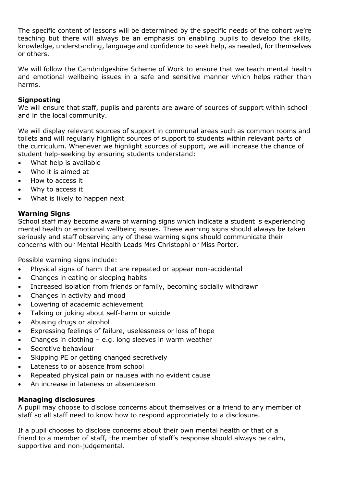The specific content of lessons will be determined by the specific needs of the cohort we're teaching but there will always be an emphasis on enabling pupils to develop the skills, knowledge, understanding, language and confidence to seek help, as needed, for themselves or others.

We will follow the Cambridgeshire Scheme of Work to ensure that we teach mental health and emotional wellbeing issues in a safe and sensitive manner which helps rather than harms.

## **Signposting**

We will ensure that staff, pupils and parents are aware of sources of support within school and in the local community.

We will display relevant sources of support in communal areas such as common rooms and toilets and will regularly highlight sources of support to students within relevant parts of the curriculum. Whenever we highlight sources of support, we will increase the chance of student help-seeking by ensuring students understand:

- What help is available
- Who it is aimed at
- How to access it
- Why to access it
- What is likely to happen next

# **Warning Signs**

School staff may become aware of warning signs which indicate a student is experiencing mental health or emotional wellbeing issues. These warning signs should always be taken seriously and staff observing any of these warning signs should communicate their concerns with our Mental Health Leads Mrs Christophi or Miss Porter.

Possible warning signs include:

- Physical signs of harm that are repeated or appear non-accidental
- Changes in eating or sleeping habits
- Increased isolation from friends or family, becoming socially withdrawn
- Changes in activity and mood
- Lowering of academic achievement
- Talking or joking about self-harm or suicide
- Abusing drugs or alcohol
- Expressing feelings of failure, uselessness or loss of hope
- Changes in clothing e.g. long sleeves in warm weather
- Secretive behaviour
- Skipping PE or getting changed secretively
- Lateness to or absence from school
- Repeated physical pain or nausea with no evident cause
- An increase in lateness or absenteeism

# **Managing disclosures**

A pupil may choose to disclose concerns about themselves or a friend to any member of staff so all staff need to know how to respond appropriately to a disclosure.

If a pupil chooses to disclose concerns about their own mental health or that of a friend to a member of staff, the member of staff's response should always be calm, supportive and non-judgemental.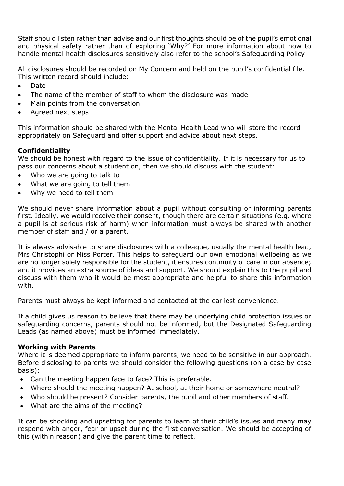Staff should listen rather than advise and our first thoughts should be of the pupil's emotional and physical safety rather than of exploring 'Why?' For more information about how to handle mental health disclosures sensitively also refer to the school's Safeguarding Policy

All disclosures should be recorded on My Concern and held on the pupil's confidential file. This written record should include:

- Date
- The name of the member of staff to whom the disclosure was made
- Main points from the conversation
- Agreed next steps

This information should be shared with the Mental Health Lead who will store the record appropriately on Safeguard and offer support and advice about next steps.

# **Confidentiality**

We should be honest with regard to the issue of confidentiality. If it is necessary for us to pass our concerns about a student on, then we should discuss with the student:

- Who we are going to talk to
- What we are going to tell them
- Why we need to tell them

We should never share information about a pupil without consulting or informing parents first. Ideally, we would receive their consent, though there are certain situations (e.g. where a pupil is at serious risk of harm) when information must always be shared with another member of staff and / or a parent.

It is always advisable to share disclosures with a colleague, usually the mental health lead, Mrs Christophi or Miss Porter. This helps to safeguard our own emotional wellbeing as we are no longer solely responsible for the student, it ensures continuity of care in our absence; and it provides an extra source of ideas and support. We should explain this to the pupil and discuss with them who it would be most appropriate and helpful to share this information with.

Parents must always be kept informed and contacted at the earliest convenience.

If a child gives us reason to believe that there may be underlying child protection issues or safeguarding concerns, parents should not be informed, but the Designated Safeguarding Leads (as named above) must be informed immediately.

## **Working with Parents**

Where it is deemed appropriate to inform parents, we need to be sensitive in our approach. Before disclosing to parents we should consider the following questions (on a case by case basis):

- Can the meeting happen face to face? This is preferable.
- Where should the meeting happen? At school, at their home or somewhere neutral?
- Who should be present? Consider parents, the pupil and other members of staff.
- What are the aims of the meeting?

It can be shocking and upsetting for parents to learn of their child's issues and many may respond with anger, fear or upset during the first conversation. We should be accepting of this (within reason) and give the parent time to reflect.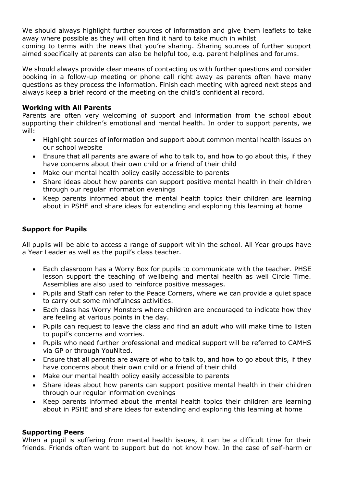We should always highlight further sources of information and give them leaflets to take away where possible as they will often find it hard to take much in whilst

coming to terms with the news that you're sharing. Sharing sources of further support aimed specifically at parents can also be helpful too, e.g. parent helplines and forums.

We should always provide clear means of contacting us with further questions and consider booking in a follow-up meeting or phone call right away as parents often have many questions as they process the information. Finish each meeting with agreed next steps and always keep a brief record of the meeting on the child's confidential record.

# **Working with All Parents**

Parents are often very welcoming of support and information from the school about supporting their children's emotional and mental health. In order to support parents, we will:

- Highlight sources of information and support about common mental health issues on our school website
- Ensure that all parents are aware of who to talk to, and how to go about this, if they have concerns about their own child or a friend of their child
- Make our mental health policy easily accessible to parents
- Share ideas about how parents can support positive mental health in their children through our regular information evenings
- Keep parents informed about the mental health topics their children are learning about in PSHE and share ideas for extending and exploring this learning at home

# **Support for Pupils**

All pupils will be able to access a range of support within the school. All Year groups have a Year Leader as well as the pupil's class teacher.

- Each classroom has a Worry Box for pupils to communicate with the teacher. PHSE lesson support the teaching of wellbeing and mental health as well Circle Time. Assemblies are also used to reinforce positive messages.
- Pupils and Staff can refer to the Peace Corners, where we can provide a quiet space to carry out some mindfulness activities.
- Each class has Worry Monsters where children are encouraged to indicate how they are feeling at various points in the day.
- Pupils can request to leave the class and find an adult who will make time to listen to pupil's concerns and worries.
- Pupils who need further professional and medical support will be referred to CAMHS via GP or through YouNited.
- Ensure that all parents are aware of who to talk to, and how to go about this, if they have concerns about their own child or a friend of their child
- Make our mental health policy easily accessible to parents
- Share ideas about how parents can support positive mental health in their children through our regular information evenings
- Keep parents informed about the mental health topics their children are learning about in PSHE and share ideas for extending and exploring this learning at home

## **Supporting Peers**

When a pupil is suffering from mental health issues, it can be a difficult time for their friends. Friends often want to support but do not know how. In the case of self-harm or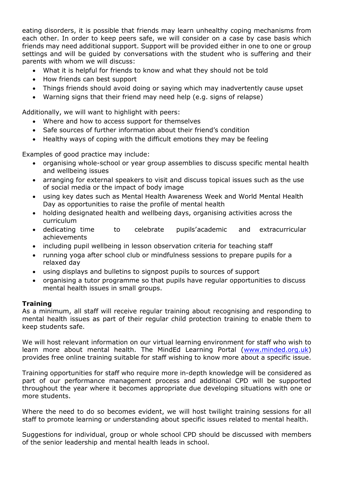eating disorders, it is possible that friends may learn unhealthy coping mechanisms from each other. In order to keep peers safe, we will consider on a case by case basis which friends may need additional support. Support will be provided either in one to one or group settings and will be guided by conversations with the student who is suffering and their parents with whom we will discuss:

- What it is helpful for friends to know and what they should not be told
- How friends can best support
- Things friends should avoid doing or saying which may inadvertently cause upset
- Warning signs that their friend may need help (e.g. signs of relapse)

Additionally, we will want to highlight with peers:

- Where and how to access support for themselves
- Safe sources of further information about their friend's condition
- Healthy ways of coping with the difficult emotions they may be feeling

Examples of good practice may include:

- organising whole-school or year group assemblies to discuss specific mental health and wellbeing issues
- arranging for external speakers to visit and discuss topical issues such as the use of social media or the impact of body image
- using key dates such as Mental Health Awareness Week and World Mental Health Day as opportunities to raise the profile of mental health
- holding designated health and wellbeing days, organising activities across the curriculum
- dedicating time to celebrate pupils'academic and extracurricular achievements
- including pupil wellbeing in lesson observation criteria for teaching staff
- running yoga after school club or mindfulness sessions to prepare pupils for a relaxed day
- using displays and bulletins to signpost pupils to sources of support
- organising a tutor programme so that pupils have regular opportunities to discuss mental health issues in small groups.

## **Training**

As a minimum, all staff will receive regular training about recognising and responding to mental health issues as part of their regular child protection training to enable them to keep students safe.

We will host relevant information on our virtual learning environment for staff who wish to learn more about mental health. The MindEd Learning Portal [\(www.minded.org.uk\)](http://www.minded.org.uk/) provides free online training suitable for staff wishing to know more about a specific issue.

Training opportunities for staff who require more in-depth knowledge will be considered as part of our performance management process and additional CPD will be supported throughout the year where it becomes appropriate due developing situations with one or more students.

Where the need to do so becomes evident, we will host twilight training sessions for all staff to promote learning or understanding about specific issues related to mental health.

Suggestions for individual, group or whole school CPD should be discussed with members of the senior leadership and mental health leads in school.